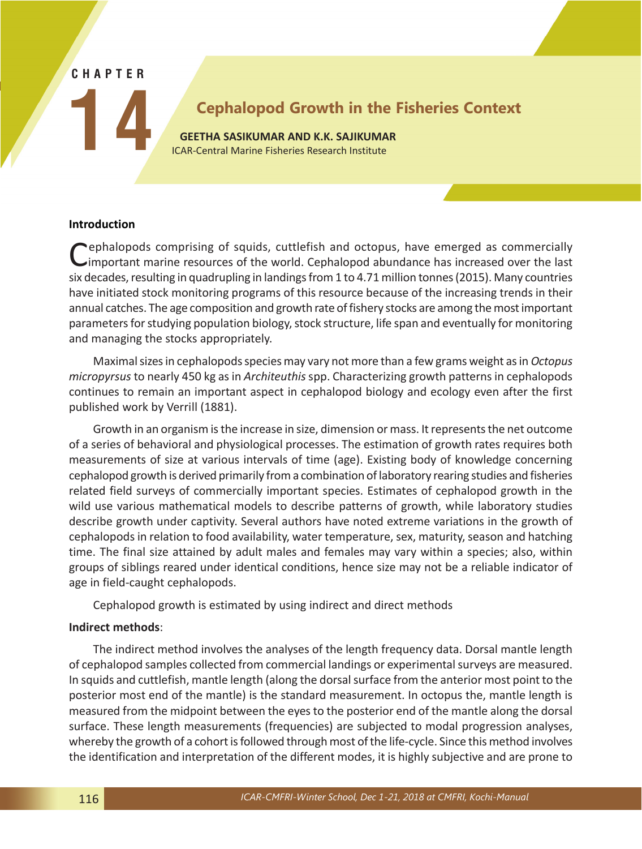#### **CHAPTER**

**14**

# **Cephalopod Growth in the Fisheries Context**

**GEETHA SASIKUMAR AND K.K. SAJIKUMAR** ICAR-Central Marine Fisheries Research Institute

*Recent Advances in Fishery Biology techniques for Biodiversity Evaluation and Conservation*

### **Introduction**

Cephalopods comprising of squids, cuttlefish and octopus, have emerged as commercially<br>
Cimportant marine resources of the world. Cephalopod abundance has increased over the last six decades, resulting in quadrupling in landings from 1 to 4.71 million tonnes (2015). Many countries have initiated stock monitoring programs of this resource because of the increasing trends in their annual catches. The age composition and growth rate of fishery stocks are among the most important parameters for studying population biology, stock structure, life span and eventually for monitoring and managing the stocks appropriately.

Maximal sizes in cephalopods species may vary not more than a few grams weight as in *Octopus micropyrsus* to nearly 450 kg as in *Architeuthis* spp. Characterizing growth patterns in cephalopods continues to remain an important aspect in cephalopod biology and ecology even after the first published work by Verrill (1881).

Growth in an organism is the increase in size, dimension or mass. It represents the net outcome of a series of behavioral and physiological processes. The estimation of growth rates requires both measurements of size at various intervals of time (age). Existing body of knowledge concerning cephalopod growth is derived primarily from a combination of laboratory rearing studies and fisheries related field surveys of commercially important species. Estimates of cephalopod growth in the wild use various mathematical models to describe patterns of growth, while laboratory studies describe growth under captivity. Several authors have noted extreme variations in the growth of cephalopods in relation to food availability, water temperature, sex, maturity, season and hatching time. The final size attained by adult males and females may vary within a species; also, within groups of siblings reared under identical conditions, hence size may not be a reliable indicator of age in field-caught cephalopods.

Cephalopod growth is estimated by using indirect and direct methods

#### **Indirect methods**:

The indirect method involves the analyses of the length frequency data. Dorsal mantle length of cephalopod samples collected from commercial landings or experimental surveys are measured. In squids and cuttlefish, mantle length (along the dorsal surface from the anterior most point to the posterior most end of the mantle) is the standard measurement. In octopus the, mantle length is measured from the midpoint between the eyes to the posterior end of the mantle along the dorsal surface. These length measurements (frequencies) are subjected to modal progression analyses, whereby the growth of a cohort is followed through most of the life-cycle. Since this method involves the identification and interpretation of the different modes, it is highly subjective and are prone to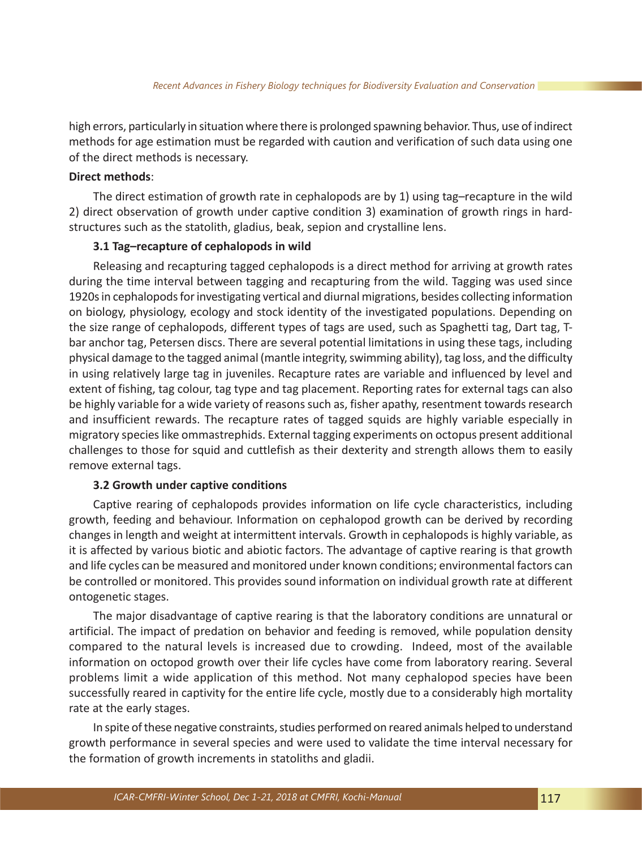high errors, particularly in situation where there is prolonged spawning behavior. Thus, use of indirect methods for age estimation must be regarded with caution and verification of such data using one of the direct methods is necessary.

# **Direct methods**:

The direct estimation of growth rate in cephalopods are by 1) using tag–recapture in the wild 2) direct observation of growth under captive condition 3) examination of growth rings in hardstructures such as the statolith, gladius, beak, sepion and crystalline lens.

### **3.1 Tag–recapture of cephalopods in wild**

Releasing and recapturing tagged cephalopods is a direct method for arriving at growth rates during the time interval between tagging and recapturing from the wild. Tagging was used since 1920s in cephalopods for investigating vertical and diurnal migrations, besides collecting information on biology, physiology, ecology and stock identity of the investigated populations. Depending on the size range of cephalopods, different types of tags are used, such as Spaghetti tag, Dart tag, Tbar anchor tag, Petersen discs. There are several potential limitations in using these tags, including physical damage to the tagged animal (mantle integrity, swimming ability), tag loss, and the difficulty in using relatively large tag in juveniles. Recapture rates are variable and influenced by level and extent of fishing, tag colour, tag type and tag placement. Reporting rates for external tags can also be highly variable for a wide variety of reasons such as, fisher apathy, resentment towards research and insufficient rewards. The recapture rates of tagged squids are highly variable especially in migratory species like ommastrephids. External tagging experiments on octopus present additional challenges to those for squid and cuttlefish as their dexterity and strength allows them to easily remove external tags.

### **3.2 Growth under captive conditions**

Captive rearing of cephalopods provides information on life cycle characteristics, including growth, feeding and behaviour. Information on cephalopod growth can be derived by recording changes in length and weight at intermittent intervals. Growth in cephalopods is highly variable, as it is affected by various biotic and abiotic factors. The advantage of captive rearing is that growth and life cycles can be measured and monitored under known conditions; environmental factors can be controlled or monitored. This provides sound information on individual growth rate at different ontogenetic stages.

The major disadvantage of captive rearing is that the laboratory conditions are unnatural or artificial. The impact of predation on behavior and feeding is removed, while population density compared to the natural levels is increased due to crowding. Indeed, most of the available information on octopod growth over their life cycles have come from laboratory rearing. Several problems limit a wide application of this method. Not many cephalopod species have been successfully reared in captivity for the entire life cycle, mostly due to a considerably high mortality rate at the early stages.

In spite of these negative constraints, studies performed on reared animals helped to understand growth performance in several species and were used to validate the time interval necessary for the formation of growth increments in statoliths and gladii.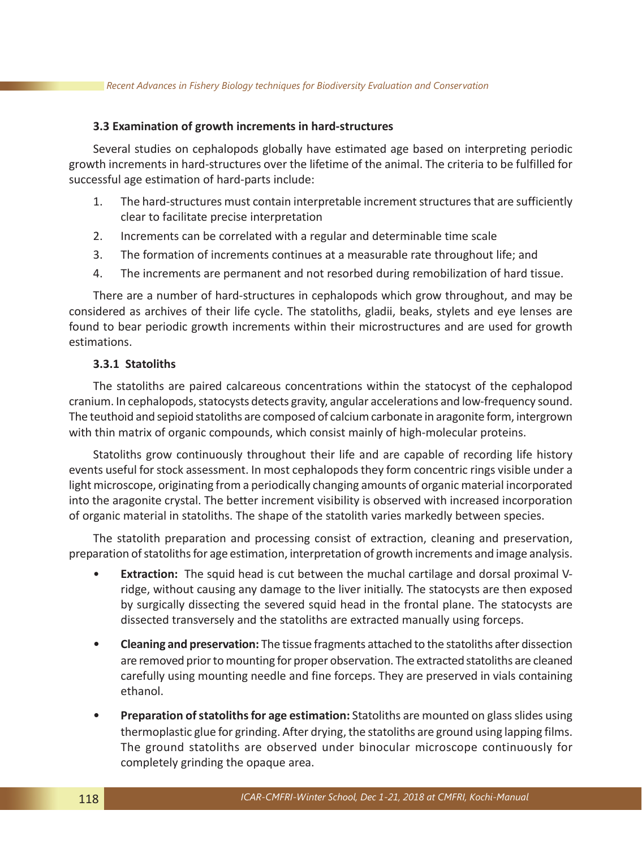#### **3.3 Examination of growth increments in hard-structures**

Several studies on cephalopods globally have estimated age based on interpreting periodic growth increments in hard-structures over the lifetime of the animal. The criteria to be fulfilled for successful age estimation of hard-parts include:

- 1. The hard-structures must contain interpretable increment structures that are sufficiently clear to facilitate precise interpretation
- 2. Increments can be correlated with a regular and determinable time scale
- 3. The formation of increments continues at a measurable rate throughout life; and
- 4. The increments are permanent and not resorbed during remobilization of hard tissue.

There are a number of hard-structures in cephalopods which grow throughout, and may be considered as archives of their life cycle. The statoliths, gladii, beaks, stylets and eye lenses are found to bear periodic growth increments within their microstructures and are used for growth estimations.

# **3.3.1 Statoliths**

The statoliths are paired calcareous concentrations within the statocyst of the cephalopod cranium. In cephalopods, statocysts detects gravity, angular accelerations and low-frequency sound. The teuthoid and sepioid statoliths are composed of calcium carbonate in aragonite form, intergrown with thin matrix of organic compounds, which consist mainly of high-molecular proteins.

Statoliths grow continuously throughout their life and are capable of recording life history events useful for stock assessment. In most cephalopods they form concentric rings visible under a light microscope, originating from a periodically changing amounts of organic material incorporated into the aragonite crystal. The better increment visibility is observed with increased incorporation of organic material in statoliths. The shape of the statolith varies markedly between species.

The statolith preparation and processing consist of extraction, cleaning and preservation, preparation of statoliths for age estimation, interpretation of growth increments and image analysis.

- **Extraction:** The squid head is cut between the muchal cartilage and dorsal proximal Vridge, without causing any damage to the liver initially. The statocysts are then exposed by surgically dissecting the severed squid head in the frontal plane. The statocysts are dissected transversely and the statoliths are extracted manually using forceps.
- **Cleaning and preservation:** The tissue fragments attached to the statoliths after dissection are removed prior to mounting for proper observation. The extracted statoliths are cleaned carefully using mounting needle and fine forceps. They are preserved in vials containing ethanol.
- **Preparation of statoliths for age estimation:** Statoliths are mounted on glass slides using thermoplastic glue for grinding. After drying, the statoliths are ground using lapping films. The ground statoliths are observed under binocular microscope continuously for completely grinding the opaque area.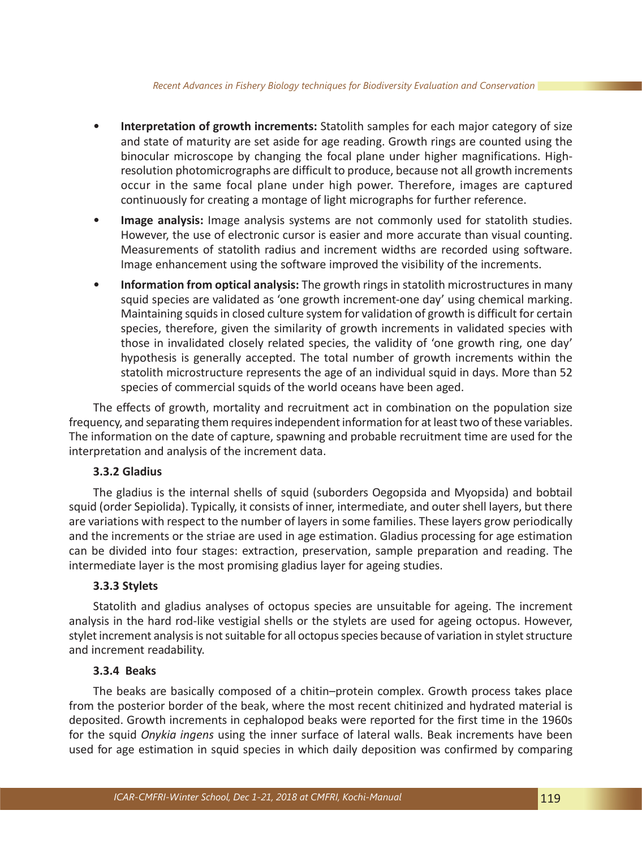- **Interpretation of growth increments:** Statolith samples for each major category of size and state of maturity are set aside for age reading. Growth rings are counted using the binocular microscope by changing the focal plane under higher magnifications. Highresolution photomicrographs are difficult to produce, because not all growth increments occur in the same focal plane under high power. Therefore, images are captured continuously for creating a montage of light micrographs for further reference.
- **Image analysis:** Image analysis systems are not commonly used for statolith studies. However, the use of electronic cursor is easier and more accurate than visual counting. Measurements of statolith radius and increment widths are recorded using software. Image enhancement using the software improved the visibility of the increments.
- **Information from optical analysis:** The growth rings in statolith microstructures in many squid species are validated as 'one growth increment-one day' using chemical marking. Maintaining squids in closed culture system for validation of growth is difficult for certain species, therefore, given the similarity of growth increments in validated species with those in invalidated closely related species, the validity of 'one growth ring, one day' hypothesis is generally accepted. The total number of growth increments within the statolith microstructure represents the age of an individual squid in days. More than 52 species of commercial squids of the world oceans have been aged.

The effects of growth, mortality and recruitment act in combination on the population size frequency, and separating them requires independent information for at least two of these variables. The information on the date of capture, spawning and probable recruitment time are used for the interpretation and analysis of the increment data.

# **3.3.2 Gladius**

The gladius is the internal shells of squid (suborders Oegopsida and Myopsida) and bobtail squid (order Sepiolida). Typically, it consists of inner, intermediate, and outer shell layers, but there are variations with respect to the number of layers in some families. These layers grow periodically and the increments or the striae are used in age estimation. Gladius processing for age estimation can be divided into four stages: extraction, preservation, sample preparation and reading. The intermediate layer is the most promising gladius layer for ageing studies.

### **3.3.3 Stylets**

Statolith and gladius analyses of octopus species are unsuitable for ageing. The increment analysis in the hard rod-like vestigial shells or the stylets are used for ageing octopus. However, stylet increment analysis is not suitable for all octopus species because of variation in stylet structure and increment readability.

### **3.3.4 Beaks**

The beaks are basically composed of a chitin–protein complex. Growth process takes place from the posterior border of the beak, where the most recent chitinized and hydrated material is deposited. Growth increments in cephalopod beaks were reported for the first time in the 1960s for the squid *Onykia ingens* using the inner surface of lateral walls. Beak increments have been used for age estimation in squid species in which daily deposition was confirmed by comparing